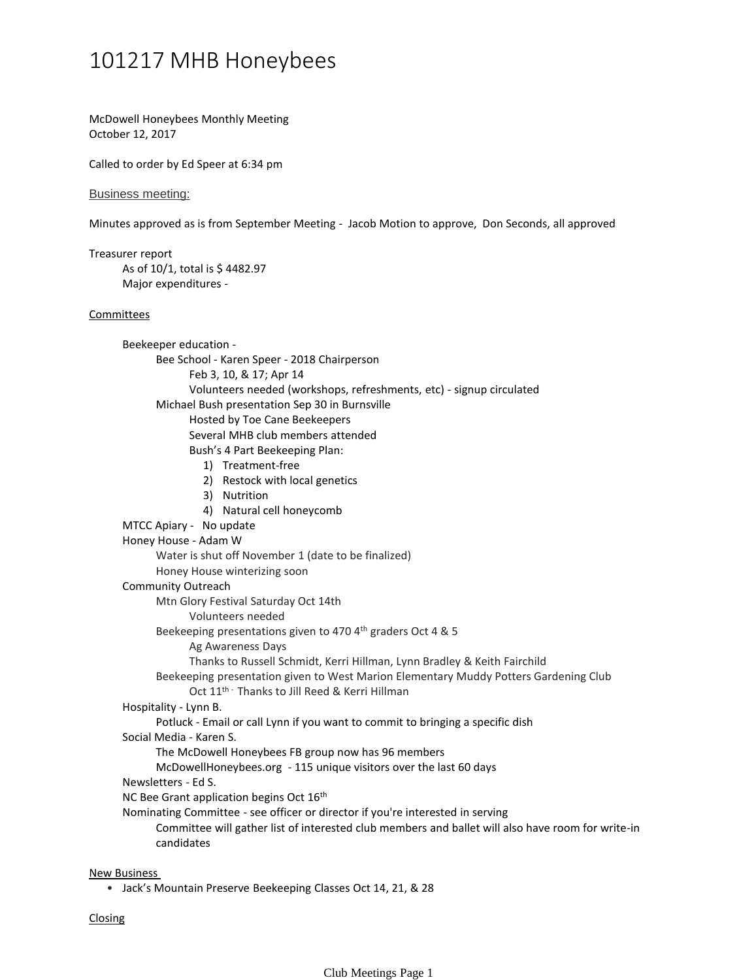## 101217 MHB Honeybees

McDowell Honeybees Monthly Meeting October 12, 2017

Called to order by Ed Speer at 6:34 pm

Business meeting:

Minutes approved as is from September Meeting - Jacob Motion to approve, Don Seconds, all approved

As of 10/1, total is \$ 4482.97 Major expenditures - Treasurer report Feb 3, 10, & 17; Apr 14 Volunteers needed (workshops, refreshments, etc) - signup circulated Bee School - Karen Speer - 2018 Chairperson Hosted by Toe Cane Beekeepers Several MHB club members attended 1) Treatment-free 2) Restock with local genetics 3) Nutrition 4) Natural cell honeycomb Bush's 4 Part Beekeeping Plan: Michael Bush presentation Sep 30 in Burnsville Beekeeper education - MTCC Apiary - No update Water is shut off November 1 (date to be finalized) Honey House winterizing soon Honey House - Adam W Volunteers needed Mtn Glory Festival Saturday Oct 14th Ag Awareness Days Thanks to Russell Schmidt, Kerri Hillman, Lynn Bradley & Keith Fairchild Beekeeping presentations given to 470 4th graders Oct 4 & 5 Oct 11<sup>th -</sup> Thanks to Jill Reed & Kerri Hillman Beekeeping presentation given to West Marion Elementary Muddy Potters Gardening Club Community Outreach Potluck - Email or call Lynn if you want to commit to bringing a specific dish Hospitality - Lynn B. The McDowell Honeybees FB group now has 96 members McDowellHoneybees.org - 115 unique visitors over the last 60 days Social Media - Karen S. Newsletters - Ed S. NC Bee Grant application begins Oct 16<sup>th</sup> Committee will gather list of interested club members and ballet will also have room for write-in candidates Nominating Committee - see officer or director if you're interested in serving Committees New Business

• Jack's Mountain Preserve Beekeeping Classes Oct 14, 21, & 28

**Closing**